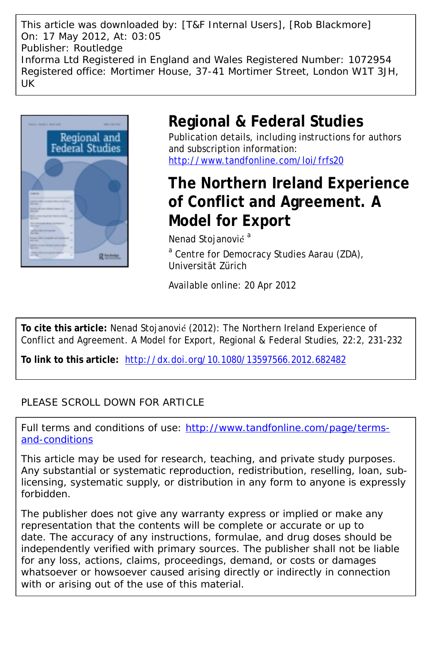This article was downloaded by: [T&F Internal Users], [Rob Blackmore] On: 17 May 2012, At: 03:05 Publisher: Routledge Informa Ltd Registered in England and Wales Registered Number: 1072954 Registered office: Mortimer House, 37-41 Mortimer Street, London W1T 3JH, UK



## **Regional & Federal Studies**

Publication details, including instructions for authors and subscription information: <http://www.tandfonline.com/loi/frfs20>

# **The Northern Ireland Experience of Conflict and Agreement. A Model for Export**

Nenad Stojanović<sup>a</sup> <sup>a</sup> Centre for Democracy Studies Aarau (ZDA), Universität Zürich

Available online: 20 Apr 2012

**To cite this article:** Nenad Stojanović (2012): The Northern Ireland Experience of Conflict and Agreement. A Model for Export, Regional & Federal Studies, 22:2, 231-232

**To link to this article:** <http://dx.doi.org/10.1080/13597566.2012.682482>

### PLEASE SCROLL DOWN FOR ARTICLE

Full terms and conditions of use: [http://www.tandfonline.com/page/terms](http://www.tandfonline.com/page/terms-and-conditions)[and-conditions](http://www.tandfonline.com/page/terms-and-conditions)

This article may be used for research, teaching, and private study purposes. Any substantial or systematic reproduction, redistribution, reselling, loan, sublicensing, systematic supply, or distribution in any form to anyone is expressly forbidden.

The publisher does not give any warranty express or implied or make any representation that the contents will be complete or accurate or up to date. The accuracy of any instructions, formulae, and drug doses should be independently verified with primary sources. The publisher shall not be liable for any loss, actions, claims, proceedings, demand, or costs or damages whatsoever or howsoever caused arising directly or indirectly in connection with or arising out of the use of this material.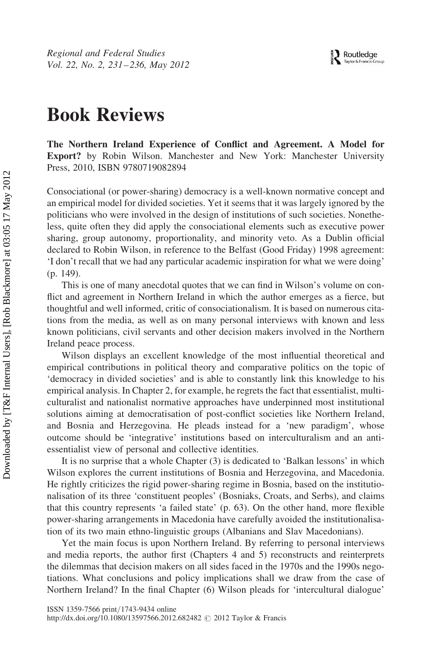Regional and Federal Studies Vol. 22, No. 2, 231-236, May 2012

## Book Reviews

The Northern Ireland Experience of Conflict and Agreement. A Model for Export? by Robin Wilson. Manchester and New York: Manchester University Press, 2010, ISBN 9780719082894

Consociational (or power-sharing) democracy is a well-known normative concept and an empirical model for divided societies. Yet it seems that it was largely ignored by the politicians who were involved in the design of institutions of such societies. Nonetheless, quite often they did apply the consociational elements such as executive power sharing, group autonomy, proportionality, and minority veto. As a Dublin official declared to Robin Wilson, in reference to the Belfast (Good Friday) 1998 agreement: 'I don't recall that we had any particular academic inspiration for what we were doing' (p. 149).

This is one of many anecdotal quotes that we can find in Wilson's volume on conflict and agreement in Northern Ireland in which the author emerges as a fierce, but thoughtful and well informed, critic of consociationalism. It is based on numerous citations from the media, as well as on many personal interviews with known and less known politicians, civil servants and other decision makers involved in the Northern Ireland peace process.

Wilson displays an excellent knowledge of the most influential theoretical and empirical contributions in political theory and comparative politics on the topic of 'democracy in divided societies' and is able to constantly link this knowledge to his empirical analysis. In Chapter 2, for example, he regrets the fact that essentialist, multiculturalist and nationalist normative approaches have underpinned most institutional solutions aiming at democratisation of post-conflict societies like Northern Ireland, and Bosnia and Herzegovina. He pleads instead for a 'new paradigm', whose outcome should be 'integrative' institutions based on interculturalism and an antiessentialist view of personal and collective identities.

It is no surprise that a whole Chapter (3) is dedicated to 'Balkan lessons' in which Wilson explores the current institutions of Bosnia and Herzegovina, and Macedonia. He rightly criticizes the rigid power-sharing regime in Bosnia, based on the institutionalisation of its three 'constituent peoples' (Bosniaks, Croats, and Serbs), and claims that this country represents 'a failed state' (p. 63). On the other hand, more flexible power-sharing arrangements in Macedonia have carefully avoided the institutionalisation of its two main ethno-linguistic groups (Albanians and Slav Macedonians).

Yet the main focus is upon Northern Ireland. By referring to personal interviews and media reports, the author first (Chapters 4 and 5) reconstructs and reinterprets the dilemmas that decision makers on all sides faced in the 1970s and the 1990s negotiations. What conclusions and policy implications shall we draw from the case of Northern Ireland? In the final Chapter (6) Wilson pleads for 'intercultural dialogue'